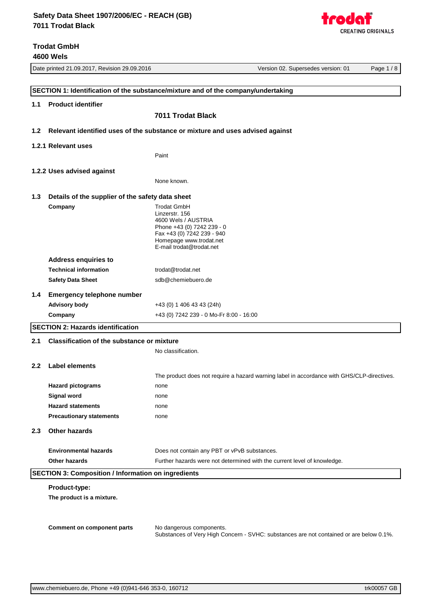Date printed 21.09.2017, Revision 29.09.2016 **Version 20.000 Version 02.** Supersedes version: 01 Page 1 / 8 **SECTION 1: Identification of the substance/mixture and of the company/undertaking 1.1 Product identifier 7011 Trodat Black 1.2 Relevant identified uses of the substance or mixture and uses advised against 1.2.1 Relevant uses** Paint **1.2.2 Uses advised against** None known. **1.3 Details of the supplier of the safety data sheet Company** Trodat GmbH Linzerstr. 156 4600 Wels / AUSTRIA Phone +43 (0) 7242 239 - 0 Fax +43 (0) 7242 239 - 940 Homepage [www.trodat.net](http://www.trodat.net) E-mail [trodat@trodat.net](mailto:trodat@trodat.net) **Address enquiries to** Technical information [trodat@trodat.net](mailto:trodat@trodat.net) **Safety Data Sheet** [sdb@chemiebuero.de](mailto:sdb@chemiebuero.de) **1.4 Emergency telephone number Advisory body** +43 (0) 1 406 43 43 (24h) **Company** +43 (0) 7242 239 - 0 Mo-Fr 8:00 - 16:00 **SECTION 2: Hazards identification 2.1 Classification of the substance or mixture** No classification. **2.2 Label elements** The product does not require a hazard warning label in accordance with GHS/CLP-directives. **Hazard pictograms** none **Signal word** none **Hazard statements** none **Precautionary statements** none **2.3 Other hazards Environmental hazards** Does not contain any PBT or vPvB substances. **Other hazards** Further hazards were not determined with the current level of knowledge. **SECTION 3: Composition / Information on ingredients**

#### **Product-type:**

**The product is a mixture.**

**Comment on component parts** No dangerous components.

Substances of Very High Concern - SVHC: substances are not contained or are below 0.1%.

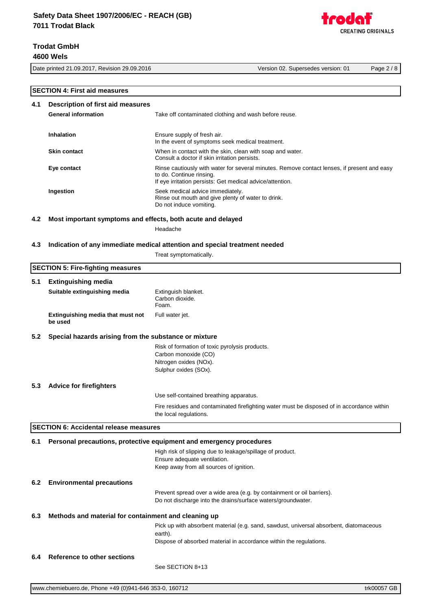Date printed 21.09.2017, Revision 29.09.2016 Version 02. Supersedes version: 01 Page 2 / 8

|     | <b>SECTION 4: First aid measures</b>                        |                                                                                                                                                                                      |  |  |
|-----|-------------------------------------------------------------|--------------------------------------------------------------------------------------------------------------------------------------------------------------------------------------|--|--|
|     |                                                             |                                                                                                                                                                                      |  |  |
| 4.1 | <b>Description of first aid measures</b>                    |                                                                                                                                                                                      |  |  |
|     | <b>General information</b>                                  | Take off contaminated clothing and wash before reuse.                                                                                                                                |  |  |
|     |                                                             |                                                                                                                                                                                      |  |  |
|     | <b>Inhalation</b>                                           | Ensure supply of fresh air.                                                                                                                                                          |  |  |
|     |                                                             | In the event of symptoms seek medical treatment.                                                                                                                                     |  |  |
|     | <b>Skin contact</b>                                         | When in contact with the skin, clean with soap and water.<br>Consult a doctor if skin irritation persists.                                                                           |  |  |
|     | Eye contact                                                 | Rinse cautiously with water for several minutes. Remove contact lenses, if present and easy<br>to do. Continue rinsing.<br>If eye irritation persists: Get medical advice/attention. |  |  |
|     | Ingestion                                                   | Seek medical advice immediately.<br>Rinse out mouth and give plenty of water to drink.<br>Do not induce vomiting.                                                                    |  |  |
|     |                                                             |                                                                                                                                                                                      |  |  |
| 4.2 | Most important symptoms and effects, both acute and delayed |                                                                                                                                                                                      |  |  |
|     |                                                             | Headache                                                                                                                                                                             |  |  |
| 4.3 |                                                             | Indication of any immediate medical attention and special treatment needed                                                                                                           |  |  |
|     |                                                             | Treat symptomatically.                                                                                                                                                               |  |  |
|     | <b>SECTION 5: Fire-fighting measures</b>                    |                                                                                                                                                                                      |  |  |
|     |                                                             |                                                                                                                                                                                      |  |  |
| 5.1 | <b>Extinguishing media</b>                                  |                                                                                                                                                                                      |  |  |
|     | Suitable extinguishing media                                | Extinguish blanket.<br>Carbon dioxide.<br>Foam.                                                                                                                                      |  |  |
|     | Extinguishing media that must not<br>be used                | Full water jet.                                                                                                                                                                      |  |  |
| 5.2 | Special hazards arising from the substance or mixture       |                                                                                                                                                                                      |  |  |
|     |                                                             | Risk of formation of toxic pyrolysis products.                                                                                                                                       |  |  |
|     |                                                             | Carbon monoxide (CO)                                                                                                                                                                 |  |  |
|     |                                                             | Nitrogen oxides (NOx).                                                                                                                                                               |  |  |
|     |                                                             | Sulphur oxides (SOx).                                                                                                                                                                |  |  |
| 5.3 | <b>Advice for firefighters</b>                              |                                                                                                                                                                                      |  |  |
|     |                                                             | Use self-contained breathing apparatus.                                                                                                                                              |  |  |
|     |                                                             |                                                                                                                                                                                      |  |  |
|     |                                                             | Fire residues and contaminated firefighting water must be disposed of in accordance within<br>the local regulations.                                                                 |  |  |
|     | <b>SECTION 6: Accidental release measures</b>               |                                                                                                                                                                                      |  |  |
|     |                                                             |                                                                                                                                                                                      |  |  |
| 6.1 |                                                             | Personal precautions, protective equipment and emergency procedures                                                                                                                  |  |  |
|     |                                                             | High risk of slipping due to leakage/spillage of product.                                                                                                                            |  |  |
|     |                                                             | Ensure adequate ventilation.<br>Keep away from all sources of ignition.                                                                                                              |  |  |
|     |                                                             |                                                                                                                                                                                      |  |  |
| 6.2 | <b>Environmental precautions</b>                            |                                                                                                                                                                                      |  |  |
|     |                                                             | Prevent spread over a wide area (e.g. by containment or oil barriers).<br>Do not discharge into the drains/surface waters/groundwater.                                               |  |  |
| 6.3 | Methods and material for containment and cleaning up        |                                                                                                                                                                                      |  |  |
|     |                                                             | Pick up with absorbent material (e.g. sand, sawdust, universal absorbent, diatomaceous                                                                                               |  |  |
|     |                                                             | earth).                                                                                                                                                                              |  |  |
|     |                                                             | Dispose of absorbed material in accordance within the regulations.                                                                                                                   |  |  |
|     |                                                             |                                                                                                                                                                                      |  |  |
| 6.4 | Reference to other sections                                 |                                                                                                                                                                                      |  |  |
|     |                                                             | See SECTION 8+13                                                                                                                                                                     |  |  |

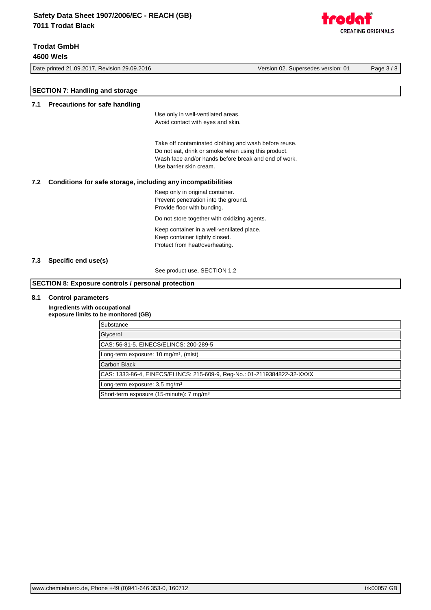CREATING ORIGINALS

Date printed 21.09.2017, Revision 29.09.2016 Version 02. Supersedes version: 01 Page 3 / 8 **SECTION 7: Handling and storage 7.1 Precautions for safe handling** Use only in well-ventilated areas. Avoid contact with eyes and skin. Take off contaminated clothing and wash before reuse. Do not eat, drink or smoke when using this product. Wash face and/or hands before break and end of work. Use barrier skin cream. **7.2 Conditions for safe storage, including any incompatibilities** Keep only in original container. Prevent penetration into the ground. Provide floor with bunding. Do not store together with oxidizing agents. Keep container in a well-ventilated place. Keep container tightly closed. Protect from heat/overheating. **7.3 Specific end use(s)** See product use, SECTION 1.2 **SECTION 8: Exposure controls / personal protection 8.1 Control parameters Ingredients with occupational** 

**exposure limits to be monitored (GB) Substance Glycerol** CAS: 56-81-5, EINECS/ELINCS: 200-289-5 Long-term exposure: 10 mg/m<sup>3</sup>, (mist) Carbon Black CAS: 1333-86-4, EINECS/ELINCS: 215-609-9, Reg-No.: 01-2119384822-32-XXXX Long-term exposure: 3,5 mg/m<sup>3</sup> Short-term exposure (15-minute): 7 mg/m<sup>3</sup>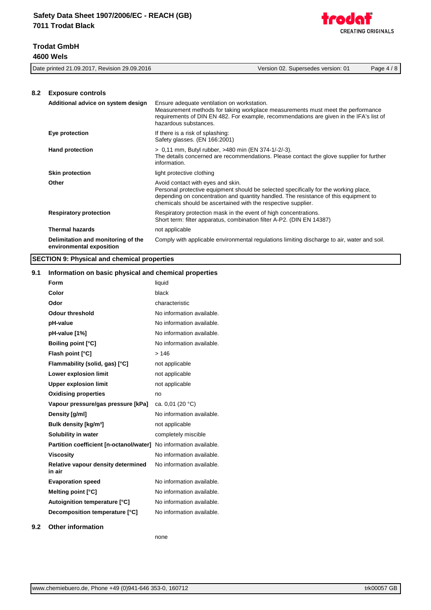

|     | Date printed 21.09.2017, Revision 29.09.2016                   | Version 02. Supersedes version: 01<br>Page $4/8$                                                                                                                                                                                                                                   |
|-----|----------------------------------------------------------------|------------------------------------------------------------------------------------------------------------------------------------------------------------------------------------------------------------------------------------------------------------------------------------|
| 8.2 | <b>Exposure controls</b>                                       |                                                                                                                                                                                                                                                                                    |
|     | Additional advice on system design                             | Ensure adequate ventilation on workstation.<br>Measurement methods for taking workplace measurements must meet the performance<br>requirements of DIN EN 482. For example, recommendations are given in the IFA's list of<br>hazardous substances.                                 |
|     | Eye protection                                                 | If there is a risk of splashing:<br>Safety glasses. (EN 166:2001)                                                                                                                                                                                                                  |
|     | <b>Hand protection</b>                                         | > 0,11 mm, Butyl rubber, >480 min (EN 374-1/-2/-3).<br>The details concerned are recommendations. Please contact the glove supplier for further<br>information.                                                                                                                    |
|     | <b>Skin protection</b>                                         | light protective clothing                                                                                                                                                                                                                                                          |
|     | Other                                                          | Avoid contact with eyes and skin.<br>Personal protective equipment should be selected specifically for the working place,<br>depending on concentration and quantity handled. The resistance of this equipment to<br>chemicals should be ascertained with the respective supplier. |
|     | <b>Respiratory protection</b>                                  | Respiratory protection mask in the event of high concentrations.<br>Short term: filter apparatus, combination filter A-P2. (DIN EN 14387)                                                                                                                                          |
|     | <b>Thermal hazards</b>                                         | not applicable                                                                                                                                                                                                                                                                     |
|     | Delimitation and monitoring of the<br>environmental exposition | Comply with applicable environmental regulations limiting discharge to air, water and soil.                                                                                                                                                                                        |
|     |                                                                |                                                                                                                                                                                                                                                                                    |

**SECTION 9: Physical and chemical properties**

### **9.1 Information on basic physical and chemical properties**

|     | Form                                         | liquid                    |
|-----|----------------------------------------------|---------------------------|
|     | Color                                        | black                     |
|     | Odor                                         | characteristic            |
|     | <b>Odour threshold</b>                       | No information available. |
|     | pH-value                                     | No information available. |
|     | pH-value [1%]                                | No information available. |
|     | <b>Boiling point [°C]</b>                    | No information available. |
|     | Flash point [°C]                             | >146                      |
|     | Flammability (solid, gas) [°C]               | not applicable            |
|     | Lower explosion limit                        | not applicable            |
|     | <b>Upper explosion limit</b>                 | not applicable            |
|     | <b>Oxidising properties</b>                  | no                        |
|     | Vapour pressure/gas pressure [kPa]           | ca. 0,01 (20 °C)          |
|     | Density [g/ml]                               | No information available. |
|     | Bulk density [kg/m <sup>3</sup> ]            | not applicable            |
|     | Solubility in water                          | completely miscible       |
|     | Partition coefficient [n-octanol/water]      | No information available. |
|     | <b>Viscosity</b>                             | No information available. |
|     | Relative vapour density determined<br>in air | No information available. |
|     | <b>Evaporation speed</b>                     | No information available. |
|     | Melting point [°C]                           | No information available. |
|     | Autoignition temperature [°C]                | No information available. |
|     | Decomposition temperature [°C]               | No information available. |
| 9.2 | <b>Other information</b>                     |                           |

none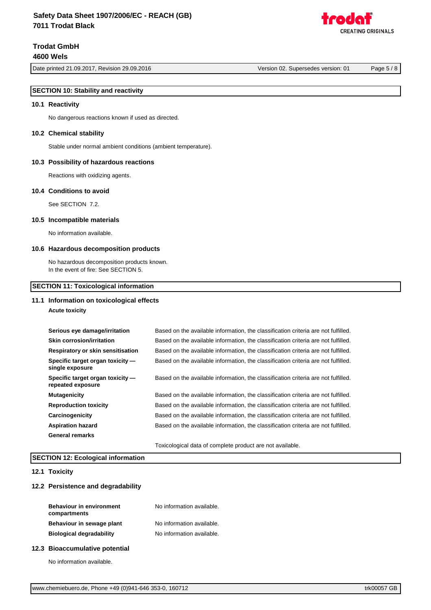Date printed 21.09.2017, Revision 29.09.2016 Version 02. Supersedes version: 01 Page 5 / 8

REATING ORIGINALS

### **SECTION 10: Stability and reactivity**

#### **10.1 Reactivity**

No dangerous reactions known if used as directed.

#### **10.2 Chemical stability**

Stable under normal ambient conditions (ambient temperature).

#### **10.3 Possibility of hazardous reactions**

Reactions with oxidizing agents.

#### **10.4 Conditions to avoid**

See SECTION 7.2.

#### **10.5 Incompatible materials**

No information available.

#### **10.6 Hazardous decomposition products**

No hazardous decomposition products known. In the event of fire: See SECTION 5.

#### **SECTION 11: Toxicological information**

#### **11.1 Information on toxicological effects**

**Acute toxicity**

| Serious eye damage/irritation                         | Based on the available information, the classification criteria are not fulfilled. |
|-------------------------------------------------------|------------------------------------------------------------------------------------|
| <b>Skin corrosion/irritation</b>                      | Based on the available information, the classification criteria are not fulfilled. |
| Respiratory or skin sensitisation                     | Based on the available information, the classification criteria are not fulfilled. |
| Specific target organ toxicity -<br>single exposure   | Based on the available information, the classification criteria are not fulfilled. |
| Specific target organ toxicity -<br>repeated exposure | Based on the available information, the classification criteria are not fulfilled. |
| <b>Mutagenicity</b>                                   | Based on the available information, the classification criteria are not fulfilled. |
| <b>Reproduction toxicity</b>                          | Based on the available information, the classification criteria are not fulfilled. |
| Carcinogenicity                                       | Based on the available information, the classification criteria are not fulfilled. |
| <b>Aspiration hazard</b>                              | Based on the available information, the classification criteria are not fulfilled. |
| <b>General remarks</b>                                |                                                                                    |
|                                                       | Toxicological data of complete product are not available.                          |

### **SECTION 12: Ecological information**

### **12.1 Toxicity**

### **12.2 Persistence and degradability**

| <b>Behaviour in environment</b><br>compartments | No information available. |
|-------------------------------------------------|---------------------------|
| Behaviour in sewage plant                       | No information available. |
| <b>Biological degradability</b>                 | No information available. |

#### **12.3 Bioaccumulative potential**

No information available.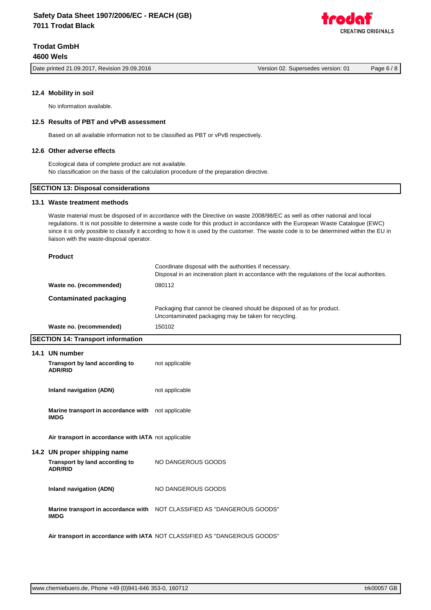Date printed 21.09.2017, Revision 29.09.2016 Version 02. Supersedes version: 01 Page 6 / 8

**12.4 Mobility in soil**

No information available.

#### **12.5 Results of PBT and vPvB assessment**

Based on all available information not to be classified as PBT or vPvB respectively.

### **12.6 Other adverse effects**

Ecological data of complete product are not available. No classification on the basis of the calculation procedure of the preparation directive.

### **SECTION 13: Disposal considerations**

### **13.1 Waste treatment methods**

Waste material must be disposed of in accordance with the Directive on waste 2008/98/EC as well as other national and local regulations. It is not possible to determine a waste code for this product in accordance with the European Waste Catalogue (EWC) since it is only possible to classify it according to how it is used by the customer. The waste code is to be determined within the EU in liaison with the waste-disposal operator.

#### **Product**

|                         | Coordinate disposal with the authorities if necessary.<br>Disposal in an incineration plant in accordance with the regulations of the local authorities. |
|-------------------------|----------------------------------------------------------------------------------------------------------------------------------------------------------|
| Waste no. (recommended) | 080112                                                                                                                                                   |
| Contaminated packaging  |                                                                                                                                                          |
|                         | Packaging that cannot be cleaned should be disposed of as for product.<br>Uncontaminated packaging may be taken for recycling.                           |
| Waste no. (recommended) | 150102                                                                                                                                                   |

#### **SECTION 14: Transport information**

| 14.1 UN number<br>Transport by land according to<br><b>ADR/RID</b>               | not applicable                                                            |
|----------------------------------------------------------------------------------|---------------------------------------------------------------------------|
| Inland navigation (ADN)                                                          | not applicable                                                            |
| Marine transport in accordance with not applicable<br><b>IMDG</b>                |                                                                           |
| Air transport in accordance with IATA not applicable                             |                                                                           |
| 14.2 UN proper shipping name<br>Transport by land according to<br><b>ADR/RID</b> | NO DANGEROUS GOODS                                                        |
| Inland navigation (ADN)                                                          | NO DANGEROUS GOODS                                                        |
| <b>IMDG</b>                                                                      | Marine transport in accordance with NOT CLASSIFIED AS "DANGEROUS GOODS"   |
|                                                                                  | Air transport in accordance with IATA NOT CLASSIFIED AS "DANGEROUS GOODS" |

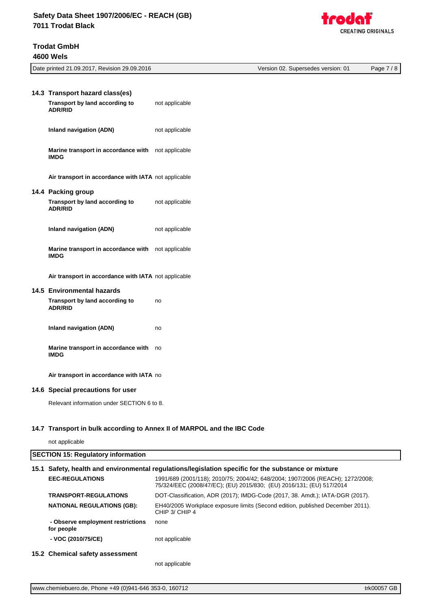| <b>Trough</b>             |
|---------------------------|
| <b>CREATING ORIGINALS</b> |

| 14.3 Transport hazard class(es)<br>Transport by land according to              | not applicable |
|--------------------------------------------------------------------------------|----------------|
| <b>ADR/RID</b>                                                                 |                |
| Inland navigation (ADN)                                                        | not applicable |
| Marine transport in accordance with not applicable<br><b>IMDG</b>              |                |
| Air transport in accordance with IATA not applicable<br>14.4 Packing group     |                |
| Transport by land according to not applicable<br><b>ADR/RID</b>                |                |
| Inland navigation (ADN)                                                        | not applicable |
| Marine transport in accordance with not applicable<br><b>IMDG</b>              |                |
| Air transport in accordance with IATA not applicable                           |                |
| 14.5 Environmental hazards<br>Transport by land according to<br><b>ADR/RID</b> | no             |
| <b>Inland navigation (ADN)</b>                                                 | no             |
| Marine transport in accordance with<br><b>IMDG</b>                             | no             |
| Air transport in accordance with IATA no                                       |                |
| 14.6 Special precautions for user                                              |                |

Relevant information under SECTION 6 to 8.

### **14.7 Transport in bulk according to Annex II of MARPOL and the IBC Code**

not applicable

# **SECTION 15: Regulatory information 15.1 Safety, health and environmental regulations/legislation specific for the substance or mixture EEC-REGULATIONS** 1991/689 (2001/118); 2010/75; 2004/42; 648/2004; 1907/2006 (REACH); 1272/2008; 75/324/EEC (2008/47/EC); (EU) 2015/830; (EU) 2016/131; (EU) 517/2014 **TRANSPORT-REGULATIONS** DOT-Classification, ADR (2017); IMDG-Code (2017, 38. Amdt.); IATA-DGR (2017). **NATIONAL REGULATIONS (GB):** EH40/2005 Workplace exposure limits (Second edition, published December 2011). CHIP 3/ CHIP 4  **- Observe employment restrictions for people** none **- VOC (2010/75/CE)** not applicable **15.2 Chemical safety assessment**

Date printed 21.09.2017, Revision 29.09.2016 Version 02. Supersedes version: 01 Page 7 / 8

not applicable